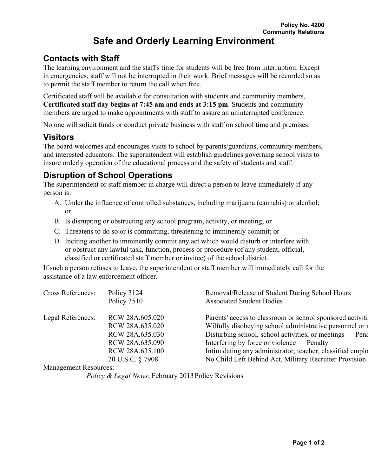## **Contacts with Staff**

The learning environment and the staff's time for students will be free from interruption. Except in emergencies, staff will not be interrupted in their work. Brief messages will be recorded so as to permit the staff member to return the call when free.

Certificated staff will be available for consultation with students and community members, **Certificated staff day begins at 7:45 am and ends at 3:15 pm**. Students and community members are urged to make appointments with staff to assure an uninterrupted conference.

No one will solicit funds or conduct private business with staff on school time and premises.

## **Visitors**

The board welcomes and encourages visits to school by parents/guardians, community members, and interested educators. The superintendent will establish guidelines governing school visits to insure orderly operation of the educational process and the safety of students and staff.

## **Disruption of School Operations**

The superintendent or staff member in charge will direct a person to leave immediately if any person is:

- A. Under the influence of controlled substances, including marijuana (cannabis) or alcohol; or
- B. Is disrupting or obstructing any school program, activity, or meeting; or
- C. Threatens to do so or is committing, threatening to imminently commit; or
- D. Inciting another to imminently commit any act which would disturb or interfere with or obstruct any lawful task, function, process or procedure (of any student, official, classified or certificated staff member or invitee) of the school district.

If such a person refuses to leave, the superintendent or staff member will immediately call for the assistance of a law enforcement officer.

| Cross References: | Policy 3124<br>Policy 3510         | Removal/Release of Student During School Hours<br><b>Associated Student Bodies</b>                                    |
|-------------------|------------------------------------|-----------------------------------------------------------------------------------------------------------------------|
| Legal References: | RCW 28A.605.020<br>RCW 28A.635.020 | Parents' access to classroom or school sponsored activiti<br>Wilfully disobeying school administrative personnel or a |
|                   | RCW 28A.635.030                    | Disturbing school, school activities, or meetings — Pena                                                              |
|                   | RCW 28A.635.090                    | Interfering by force or violence — Penalty                                                                            |
|                   | RCW 28A.635.100                    | Intimidating any administrator, teacher, classified emplo                                                             |
|                   | 20 U.S.C. § 7908                   | No Child Left Behind Act, Military Recruiter Provision                                                                |

Management Resources:

*Policy & Legal News, February 2013 Policy Revisions*